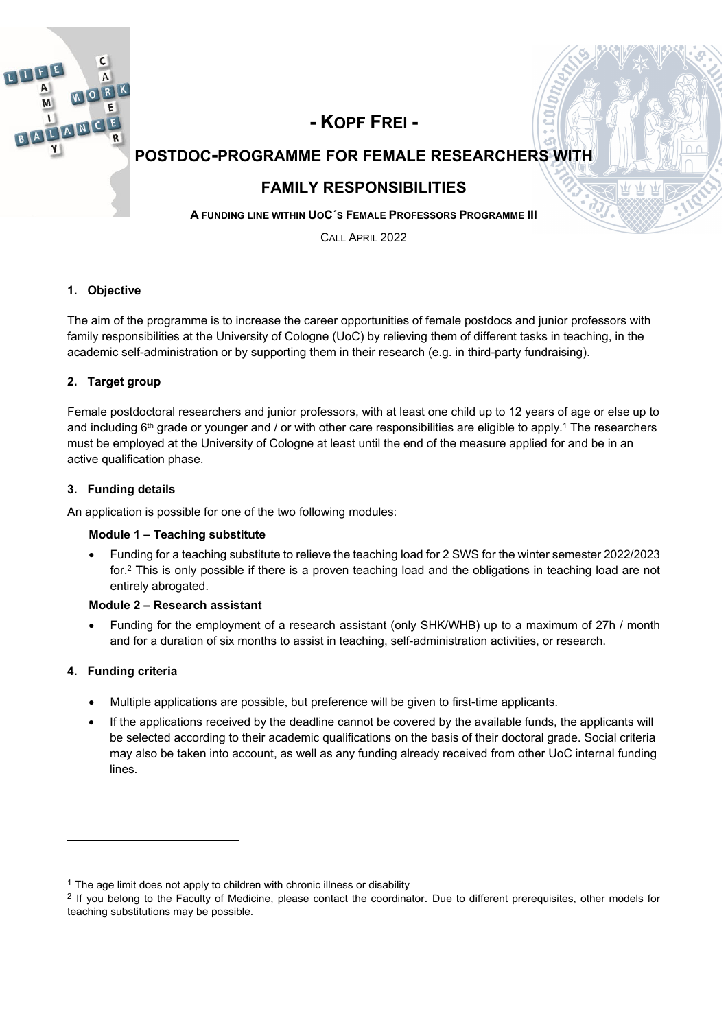

# **- KOPF FREI -**

# **POSTDOC-PROGRAMME FOR FEMALE RESEARCHERS WITH**

# **FAMILY RESPONSIBILITIES**

**A FUNDING LINE WITHIN UOC´S FEMALE PROFESSORS PROGRAMME III**

CALL APRIL 2022

#### **1. Objective**

The aim of the programme is to increase the career opportunities of female postdocs and junior professors with family responsibilities at the University of Cologne (UoC) by relieving them of different tasks in teaching, in the academic self-administration or by supporting them in their research (e.g. in third-party fundraising).

### **2. Target group**

Female postdoctoral researchers and junior professors, with at least one child up to 12 years of age or else up to and including  $6<sup>th</sup>$  grade or younger and / or with other care responsibilities are eligible to apply.<sup>1</sup> The researchers must be employed at the University of Cologne at least until the end of the measure applied for and be in an active qualification phase.

#### **3. Funding details**

An application is possible for one of the two following modules:

#### **Module 1 – Teaching substitute**

 Funding for a teaching substitute to relieve the teaching load for 2 SWS for the winter semester 2022/2023 for.2 This is only possible if there is a proven teaching load and the obligations in teaching load are not entirely abrogated.

#### **Module 2 – Research assistant**

 Funding for the employment of a research assistant (only SHK/WHB) up to a maximum of 27h / month and for a duration of six months to assist in teaching, self-administration activities, or research.

#### **4. Funding criteria**

-

- Multiple applications are possible, but preference will be given to first-time applicants.
- If the applications received by the deadline cannot be covered by the available funds, the applicants will be selected according to their academic qualifications on the basis of their doctoral grade. Social criteria may also be taken into account, as well as any funding already received from other UoC internal funding lines.

<sup>&</sup>lt;sup>1</sup> The age limit does not apply to children with chronic illness or disability

<sup>&</sup>lt;sup>2</sup> If you belong to the Faculty of Medicine, please contact the coordinator. Due to different prerequisites, other models for teaching substitutions may be possible.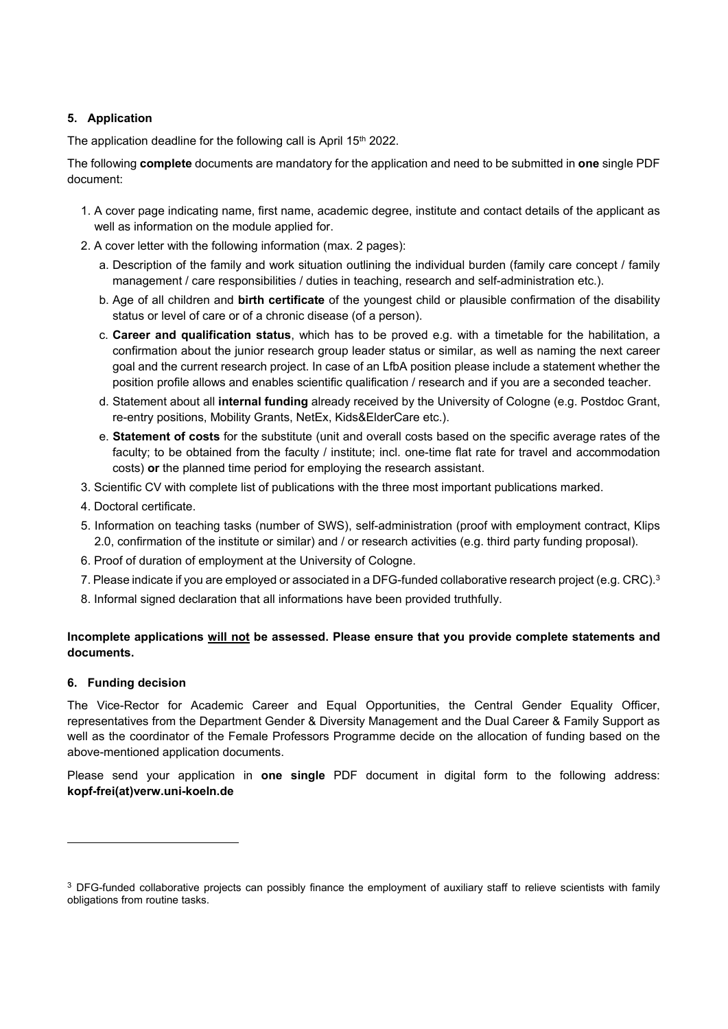#### **5. Application**

The application deadline for the following call is April 15<sup>th</sup> 2022.

The following **complete** documents are mandatory for the application and need to be submitted in **one** single PDF document:

- 1. A cover page indicating name, first name, academic degree, institute and contact details of the applicant as well as information on the module applied for.
- 2. A cover letter with the following information (max. 2 pages):
	- a. Description of the family and work situation outlining the individual burden (family care concept / family management / care responsibilities / duties in teaching, research and self-administration etc.).
	- b. Age of all children and **birth certificate** of the youngest child or plausible confirmation of the disability status or level of care or of a chronic disease (of a person).
	- c. **Career and qualification status**, which has to be proved e.g. with a timetable for the habilitation, a confirmation about the junior research group leader status or similar, as well as naming the next career goal and the current research project. In case of an LfbA position please include a statement whether the position profile allows and enables scientific qualification / research and if you are a seconded teacher.
	- d. Statement about all **internal funding** already received by the University of Cologne (e.g. Postdoc Grant, re-entry positions, Mobility Grants, NetEx, Kids&ElderCare etc.).
	- e. **Statement of costs** for the substitute (unit and overall costs based on the specific average rates of the faculty; to be obtained from the faculty / institute; incl. one-time flat rate for travel and accommodation costs) **or** the planned time period for employing the research assistant.
- 3. Scientific CV with complete list of publications with the three most important publications marked.
- 4. Doctoral certificate.
- 5. Information on teaching tasks (number of SWS), self-administration (proof with employment contract, Klips 2.0, confirmation of the institute or similar) and / or research activities (e.g. third party funding proposal).
- 6. Proof of duration of employment at the University of Cologne.
- 7. Please indicate if you are employed or associated in a DFG-funded collaborative research project (e.g. CRC).<sup>3</sup>
- 8. Informal signed declaration that all informations have been provided truthfully.

### **Incomplete applications will not be assessed. Please ensure that you provide complete statements and documents.**

#### **6. Funding decision**

-

The Vice-Rector for Academic Career and Equal Opportunities, the Central Gender Equality Officer, representatives from the Department Gender & Diversity Management and the Dual Career & Family Support as well as the coordinator of the Female Professors Programme decide on the allocation of funding based on the above-mentioned application documents.

Please send your application in **one single** PDF document in digital form to the following address: **kopf-frei(at)verw.uni-koeln.de** 

<sup>&</sup>lt;sup>3</sup> DFG-funded collaborative projects can possibly finance the employment of auxiliary staff to relieve scientists with family obligations from routine tasks.